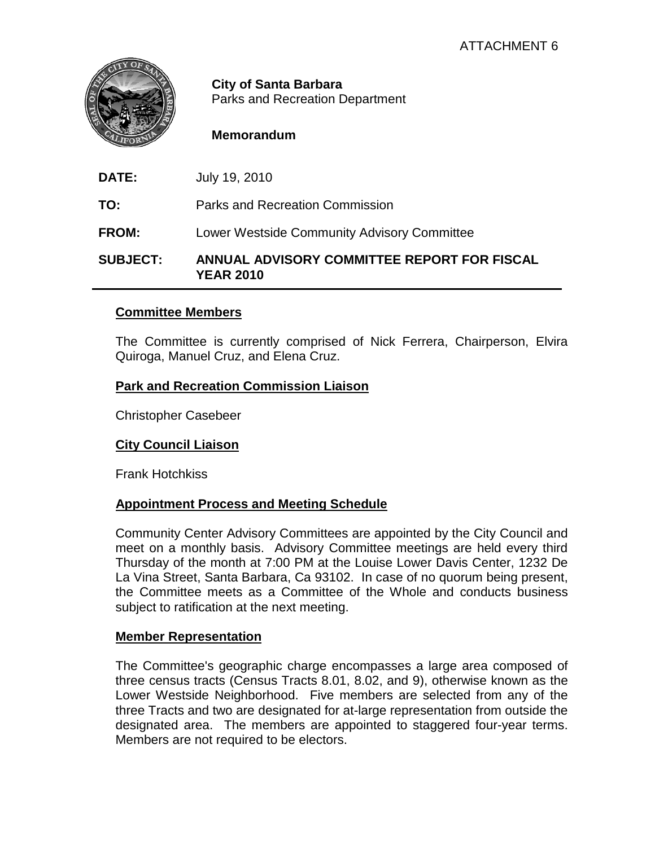

**City of Santa Barbara** Parks and Recreation Department

## **Memorandum**

**DATE:** July 19, 2010

**TO:** Parks and Recreation Commission

**FROM:** Lower Westside Community Advisory Committee

**SUBJECT: ANNUAL ADVISORY COMMITTEE REPORT FOR FISCAL YEAR 2010**

#### **Committee Members**

The Committee is currently comprised of Nick Ferrera, Chairperson, Elvira Quiroga, Manuel Cruz, and Elena Cruz.

## **Park and Recreation Commission Liaison**

Christopher Casebeer

# **City Council Liaison**

Frank Hotchkiss

#### **Appointment Process and Meeting Schedule**

Community Center Advisory Committees are appointed by the City Council and meet on a monthly basis. Advisory Committee meetings are held every third Thursday of the month at 7:00 PM at the Louise Lower Davis Center, 1232 De La Vina Street, Santa Barbara, Ca 93102. In case of no quorum being present, the Committee meets as a Committee of the Whole and conducts business subject to ratification at the next meeting.

#### **Member Representation**

The Committee's geographic charge encompasses a large area composed of three census tracts (Census Tracts 8.01, 8.02, and 9), otherwise known as the Lower Westside Neighborhood. Five members are selected from any of the three Tracts and two are designated for at-large representation from outside the designated area. The members are appointed to staggered four-year terms. Members are not required to be electors.